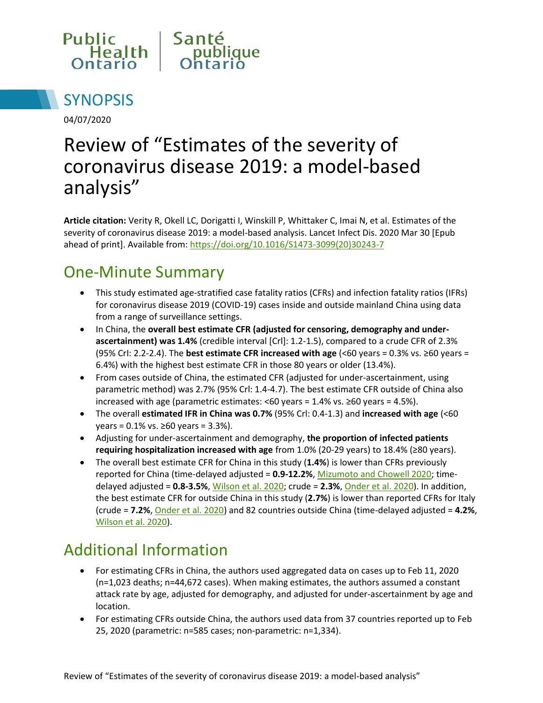



04/07/2020

# Review of "Estimates of the severity of coronavirus disease 2019: a model-based analysis"

**Article citation:** Verity R, Okell LC, Dorigatti I, Winskill P, Whittaker C, Imai N, et al. Estimates of the severity of coronavirus disease 2019: a model-based analysis. Lancet Infect Dis. 2020 Mar 30 [Epub ahead of print]. Available from: [https://doi.org/10.1016/S1473-3099\(20\)30243-7](https://doi.org/10.1016/S1473-3099(20)30243-7)

## One-Minute Summary

- This study estimated age-stratified case fatality ratios (CFRs) and infection fatality ratios (IFRs) for coronavirus disease 2019 (COVID-19) cases inside and outside mainland China using data from a range of surveillance settings.
- In China, the overall best estimate CFR (adjusted for censoring, demography and under**ascertainment) was 1.4%** (credible interval [Crl]: 1.2-1.5), compared to a crude CFR of 2.3% (95% CrI: 2.2-2.4). The **best estimate CFR increased with age** (<60 years = 0.3% vs. ≥60 years = 6.4%) with the highest best estimate CFR in those 80 years or older (13.4%).
- From cases outside of China, the estimated CFR (adjusted for under-ascertainment, using parametric method) was 2.7% (95% Crl: 1.4-4.7). The best estimate CFR outside of China also increased with age (parametric estimates: <60 years = 1.4% vs. ≥60 years = 4.5%).
- The overall **estimated IFR in China was 0.7%** (95% Crl: 0.4-1.3) and **increased with age** (<60  $years = 0.1\%$  vs. ≥60 years = 3.3%).
- Adjusting for under-ascertainment and demography, **the proportion of infected patients requiring hospitalization increased with age** from 1.0% (20-29 years) to 18.4% (≥80 years).
- The overall best estimate CFR for China in this study (**1.4%**) is lower than CFRs previously reported for China (time-delayed adjusted = **0.9-12.2%**, [Mizumoto and Chowell 2020;](https://wwwnc.cdc.gov/eid/article/26/6/20-0233_article) timedelayed adjusted = **0.8-3.5%**[, Wilson et al. 2020;](https://wwwnc.cdc.gov/eid/article/26/6/20-0320_article) crude = **2.3%**[, Onder et al. 2020\)](https://jamanetwork.com/journals/jama/fullarticle/2763667). In addition, the best estimate CFR for outside China in this study (**2.7%**) is lower than reported CFRs for Italy (crude = **7.2%**[, Onder et al. 2020\)](https://jamanetwork.com/journals/jama/fullarticle/2763667) and 82 countries outside China (time-delayed adjusted = **4.2%**, [Wilson et al. 2020\)](https://wwwnc.cdc.gov/eid/article/26/6/20-0320_article).

# Additional Information

- For estimating CFRs in China, the authors used aggregated data on cases up to Feb 11, 2020 (n=1,023 deaths; n=44,672 cases). When making estimates, the authors assumed a constant attack rate by age, adjusted for demography, and adjusted for under-ascertainment by age and location.
- For estimating CFRs outside China, the authors used data from 37 countries reported up to Feb 25, 2020 (parametric: n=585 cases; non-parametric: n=1,334).